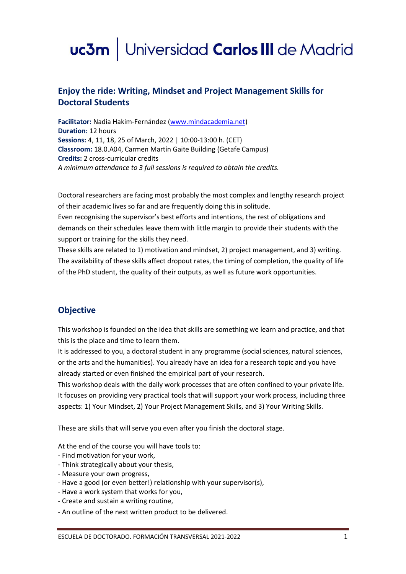# uc3m | Universidad Carlos III de Madrid

# **Enjoy the ride: Writing, Mindset and Project Management Skills for Doctoral Students**

**Facilitator:** Nadia Hakim-Fernández [\(www.mindacademia.net\)](http://www.mindacademia.net/) **Duration:** 12 hours **Sessions:** 4, 11, 18, 25 of March, 2022 | 10:00-13:00 h. (CET) **Classroom:** 18.0.A04, Carmen Martín Gaite Building (Getafe Campus) **Credits:** 2 cross-curricular credits *A mínimum attendance to 3 full sessions is required to obtain the credits.*

Doctoral researchers are facing most probably the most complex and lengthy research project of their academic lives so far and are frequently doing this in solitude.

Even recognising the supervisor's best efforts and intentions, the rest of obligations and demands on their schedules leave them with little margin to provide their students with the support or training for the skills they need.

These skills are related to 1) motivation and mindset, 2) project management, and 3) writing. The availability of these skills affect dropout rates, the timing of completion, the quality of life of the PhD student, the quality of their outputs, as well as future work opportunities.

## **Objective**

This workshop is founded on the idea that skills are something we learn and practice, and that this is the place and time to learn them.

It is addressed to you, a doctoral student in any programme (social sciences, natural sciences, or the arts and the humanities). You already have an idea for a research topic and you have already started or even finished the empirical part of your research.

This workshop deals with the daily work processes that are often confined to your private life. It focuses on providing very practical tools that will support your work process, including three aspects: 1) Your Mindset, 2) Your Project Management Skills, and 3) Your Writing Skills.

These are skills that will serve you even after you finish the doctoral stage.

At the end of the course you will have tools to:

- Find motivation for your work,
- Think strategically about your thesis,
- Measure your own progress,
- Have a good (or even better!) relationship with your supervisor(s),
- Have a work system that works for you,
- Create and sustain a writing routine,
- An outline of the next written product to be delivered.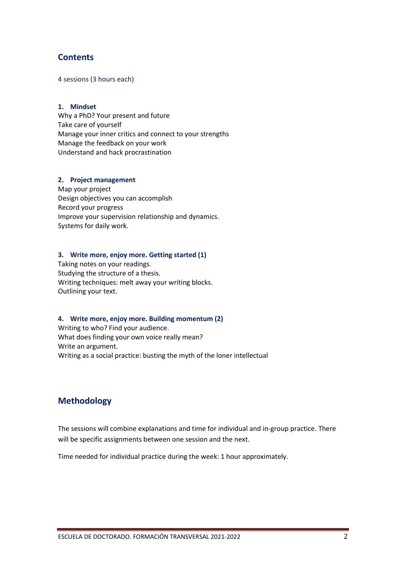## **Contents**

4 sessions (3 hours each)

#### **1. Mindset**

Why a PhD? Your present and future Take care of yourself Manage your inner critics and connect to your strengths Manage the feedback on your work Understand and hack procrastination

#### **2. Project management**

Map your project Design objectives you can accomplish Record your progress Improve your supervision relationship and dynamics. Systems for daily work.

#### **3. Write more, enjoy more. Getting started (1)**

Taking notes on your readings. Studying the structure of a thesis. Writing techniques: melt away your writing blocks. Outlining your text.

#### **4. Write more, enjoy more. Building momentum (2)**

Writing to who? Find your audience. What does finding your own voice really mean? Write an argument. Writing as a social practice: busting the myth of the loner intellectual

## **Methodology**

The sessions will combine explanations and time for individual and in-group practice. There will be specific assignments between one session and the next.

Time needed for individual practice during the week: 1 hour approximately.